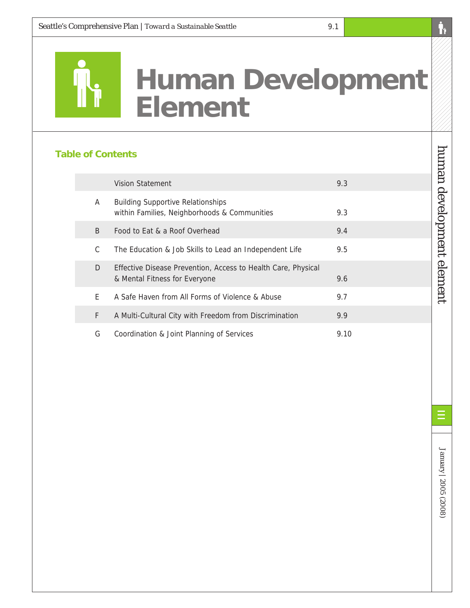

# **Human Development Element**

# **Table of Contents**

|   | Vision Statement                                                                               | 9.3  |
|---|------------------------------------------------------------------------------------------------|------|
| A | <b>Building Supportive Relationships</b><br>within Families, Neighborhoods & Communities       | 9.3  |
| B | Food to Eat & a Roof Overhead                                                                  | 9.4  |
| C | The Education & Job Skills to Lead an Independent Life                                         | 9.5  |
| D | Effective Disease Prevention, Access to Health Care, Physical<br>& Mental Fitness for Everyone | 9.6  |
| F | A Safe Haven from All Forms of Violence & Abuse                                                | 9.7  |
| F | A Multi-Cultural City with Freedom from Discrimination                                         | 9.9  |
| G | Coordination & Joint Planning of Services                                                      | 9.10 |

human development element human development element

'N

Ξ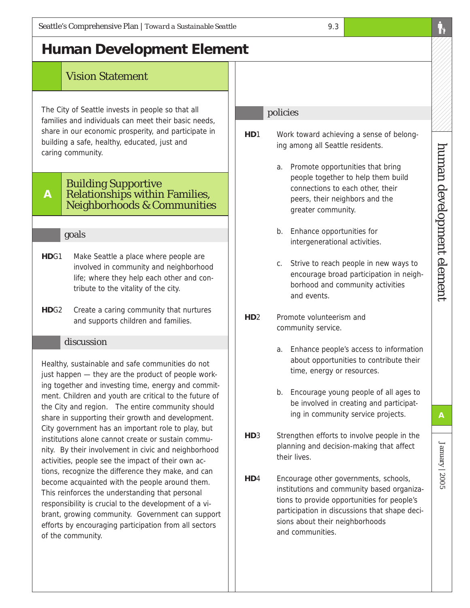# Vision Statement

The City of Seattle invests in people so that all families and individuals can meet their basic needs, share in our economic prosperity, and participate in building a safe, healthy, educated, just and caring community.

#### **A** Building Supportive Relationships within Families, Neighborhoods & Communities

# goals

- **HD**G1 Make Seattle a place where people are involved in community and neighborhood life; where they help each other and contribute to the vitality of the city.
- **HD**G2 Create a caring community that nurtures and supports children and families.

# discussion

Healthy, sustainable and safe communities do not just happen — they are the product of people working together and investing time, energy and commitment. Children and youth are critical to the future of the City and region. The entire community should share in supporting their growth and development. City government has an important role to play, but institutions alone cannot create or sustain community. By their involvement in civic and neighborhood activities, people see the impact of their own actions, recognize the difference they make, and can become acquainted with the people around them. This reinforces the understanding that personal responsibility is crucial to the development of a vibrant, growing community. Government can support efforts by encouraging participation from all sectors of the community.

# policies

**HD**1 Work toward achieving a sense of belonging among all Seattle residents.

9.3

- a. Promote opportunities that bring people together to help them build connections to each other, their peers, their neighbors and the greater community.
- b. Enhance opportunities for intergenerational activities.
- c. Strive to reach people in new ways to encourage broad participation in neighborhood and community activities and events.
- **HD**2 Promote volunteerism and community service.
	- a. Enhance people's access to information about opportunities to contribute their time, energy or resources.
	- b. Encourage young people of all ages to be involved in creating and participating in community service projects.
- **HD**3 Strengthen efforts to involve people in the planning and decision-making that affect their lives.
- **HD**4 Encourage other governments, schools, institutions and community based organizations to provide opportunities for people's participation in discussions that shape decisions about their neighborhoods and communities.

human development element

human development element

January | 2005

January | 2005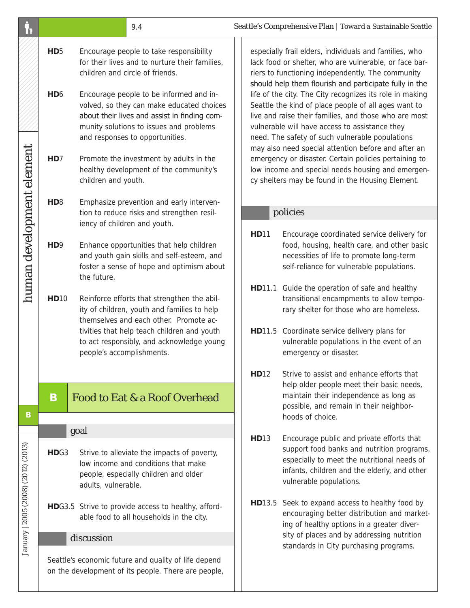|                                     |                                                                                                             | 9.4                                                                                                                                                                                                                                                                                                                                                                                                                                                            |                                                                                                                                         | Seattle's Comprehensive Plan   Toward a Sustainable Seattle                                                                                                                                                                                                                                                                                                                                                                                                                                                                                                                                                                                                                                                                                |                                                                                                                                                                                                                                                               |  |
|-------------------------------------|-------------------------------------------------------------------------------------------------------------|----------------------------------------------------------------------------------------------------------------------------------------------------------------------------------------------------------------------------------------------------------------------------------------------------------------------------------------------------------------------------------------------------------------------------------------------------------------|-----------------------------------------------------------------------------------------------------------------------------------------|--------------------------------------------------------------------------------------------------------------------------------------------------------------------------------------------------------------------------------------------------------------------------------------------------------------------------------------------------------------------------------------------------------------------------------------------------------------------------------------------------------------------------------------------------------------------------------------------------------------------------------------------------------------------------------------------------------------------------------------------|---------------------------------------------------------------------------------------------------------------------------------------------------------------------------------------------------------------------------------------------------------------|--|
| human development element           | HD <sub>5</sub><br>HD <sub>6</sub><br>HD <sub>7</sub>                                                       | Encourage people to take responsibility<br>for their lives and to nurture their families,<br>children and circle of friends.<br>Encourage people to be informed and in-<br>volved, so they can make educated choices<br>about their lives and assist in finding com-<br>munity solutions to issues and problems<br>and responses to opportunities.<br>Promote the investment by adults in the<br>healthy development of the community's<br>children and youth. |                                                                                                                                         | especially frail elders, individuals and families, who<br>lack food or shelter, who are vulnerable, or face bar-<br>riers to functioning independently. The community<br>should help them flourish and participate fully in the<br>life of the city. The City recognizes its role in making<br>Seattle the kind of place people of all ages want to<br>live and raise their families, and those who are most<br>vulnerable will have access to assistance they<br>need. The safety of such vulnerable populations<br>may also need special attention before and after an<br>emergency or disaster. Certain policies pertaining to<br>low income and special needs housing and emergen-<br>cy shelters may be found in the Housing Element. |                                                                                                                                                                                                                                                               |  |
|                                     |                                                                                                             |                                                                                                                                                                                                                                                                                                                                                                                                                                                                |                                                                                                                                         |                                                                                                                                                                                                                                                                                                                                                                                                                                                                                                                                                                                                                                                                                                                                            |                                                                                                                                                                                                                                                               |  |
|                                     | H <sub>D</sub> <sub>8</sub>                                                                                 | tion to reduce risks and strengthen resil-<br>iency of children and youth.                                                                                                                                                                                                                                                                                                                                                                                     | Emphasize prevention and early interven-                                                                                                | policies                                                                                                                                                                                                                                                                                                                                                                                                                                                                                                                                                                                                                                                                                                                                   |                                                                                                                                                                                                                                                               |  |
|                                     | H <sub>D</sub> 9                                                                                            | Enhance opportunities that help children<br>the future.                                                                                                                                                                                                                                                                                                                                                                                                        | and youth gain skills and self-esteem, and<br>foster a sense of hope and optimism about                                                 | <b>HD11</b>                                                                                                                                                                                                                                                                                                                                                                                                                                                                                                                                                                                                                                                                                                                                | Encourage coordinated service delivery for<br>food, housing, health care, and other basic<br>necessities of life to promote long-term<br>self-reliance for vulnerable populations.                                                                            |  |
|                                     | <b>HD10</b>                                                                                                 | ity of children, youth and families to help<br>themselves and each other. Promote ac-<br>people's accomplishments.                                                                                                                                                                                                                                                                                                                                             | Reinforce efforts that strengthen the abil-<br>tivities that help teach children and youth<br>to act responsibly, and acknowledge young |                                                                                                                                                                                                                                                                                                                                                                                                                                                                                                                                                                                                                                                                                                                                            | HD11.1 Guide the operation of safe and healthy<br>transitional encampments to allow tempo-<br>rary shelter for those who are homeless.<br>HD11.5 Coordinate service delivery plans for<br>vulnerable populations in the event of an<br>emergency or disaster. |  |
|                                     |                                                                                                             |                                                                                                                                                                                                                                                                                                                                                                                                                                                                |                                                                                                                                         | <b>HD12</b>                                                                                                                                                                                                                                                                                                                                                                                                                                                                                                                                                                                                                                                                                                                                | Strive to assist and enhance efforts that                                                                                                                                                                                                                     |  |
| B                                   | B                                                                                                           | <b>Food to Eat &amp; a Roof Overhead</b>                                                                                                                                                                                                                                                                                                                                                                                                                       |                                                                                                                                         |                                                                                                                                                                                                                                                                                                                                                                                                                                                                                                                                                                                                                                                                                                                                            | help older people meet their basic needs,<br>maintain their independence as long as<br>possible, and remain in their neighbor-<br>hoods of choice.                                                                                                            |  |
|                                     |                                                                                                             | goal                                                                                                                                                                                                                                                                                                                                                                                                                                                           |                                                                                                                                         |                                                                                                                                                                                                                                                                                                                                                                                                                                                                                                                                                                                                                                                                                                                                            |                                                                                                                                                                                                                                                               |  |
| January   2005 (2008) (2012) (2013) | HDG3                                                                                                        | Strive to alleviate the impacts of poverty,<br>low income and conditions that make<br>people, especially children and older<br>adults, vulnerable.                                                                                                                                                                                                                                                                                                             |                                                                                                                                         | <b>HD13</b>                                                                                                                                                                                                                                                                                                                                                                                                                                                                                                                                                                                                                                                                                                                                | Encourage public and private efforts that<br>support food banks and nutrition programs,<br>especially to meet the nutritional needs of<br>infants, children and the elderly, and other<br>vulnerable populations.                                             |  |
|                                     |                                                                                                             | HDG3.5 Strive to provide access to healthy, afford-<br>able food to all households in the city.                                                                                                                                                                                                                                                                                                                                                                |                                                                                                                                         |                                                                                                                                                                                                                                                                                                                                                                                                                                                                                                                                                                                                                                                                                                                                            | HD13.5 Seek to expand access to healthy food by<br>encouraging better distribution and market-<br>ing of healthy options in a greater diver-                                                                                                                  |  |
|                                     | discussion                                                                                                  |                                                                                                                                                                                                                                                                                                                                                                                                                                                                |                                                                                                                                         | sity of places and by addressing nutrition<br>standards in City purchasing programs.                                                                                                                                                                                                                                                                                                                                                                                                                                                                                                                                                                                                                                                       |                                                                                                                                                                                                                                                               |  |
|                                     | Seattle's economic future and quality of life depend<br>on the development of its people. There are people, |                                                                                                                                                                                                                                                                                                                                                                                                                                                                |                                                                                                                                         |                                                                                                                                                                                                                                                                                                                                                                                                                                                                                                                                                                                                                                                                                                                                            |                                                                                                                                                                                                                                                               |  |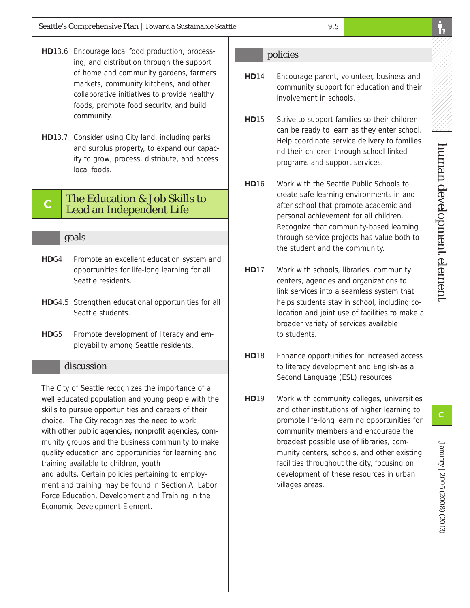- **HD**13.6 Encourage local food production, processing, and distribution through the support of home and community gardens, farmers markets, community kitchens, and other collaborative initiatives to provide healthy foods, promote food security, and build community.
- **HD**13.7 Consider using City land, including parks and surplus property, to expand our capacity to grow, process, distribute, and access local foods.

# **C** The Education & Job Skills to Lead an Independent Life

#### goals

- **HD**G4 Promote an excellent education system and opportunities for life-long learning for all Seattle residents.
- **HD**G4.5 Strengthen educational opportunities for all Seattle students.
- **HD**G5 Promote development of literacy and employability among Seattle residents.

#### discussion

The City of Seattle recognizes the importance of a well educated population and young people with the skills to pursue opportunities and careers of their choice. The City recognizes the need to work with other public agencies, nonprofit agencies, community groups and the business community to make quality education and opportunities for learning and training available to children, youth and adults. Certain policies pertaining to employment and training may be found in Section A. Labor Force Education, Development and Training in the Economic Development Element.

#### policies

- **HD**14 Encourage parent, volunteer, business and community support for education and their involvement in schools.
- **HD**15 Strive to support families so their children can be ready to learn as they enter school. Help coordinate service delivery to families nd their children through school-linked programs and support services.
- **HD**16 Work with the Seattle Public Schools to create safe learning environments in and after school that promote academic and personal achievement for all children. Recognize that community-based learning through service projects has value both to the student and the community.
- **HD**17 Work with schools, libraries, community centers, agencies and organizations to link services into a seamless system that helps students stay in school, including colocation and joint use of facilities to make a broader variety of services available to students.
- **HD**18 Enhance opportunities for increased access to literacy development and English-as a Second Language (ESL) resources.
- **HD**19 Work with community colleges, universities and other institutions of higher learning to promote life-long learning opportunities for community members and encourage the broadest possible use of libraries, community centers, schools, and other existing facilities throughout the city, focusing on development of these resources in urban villages areas.

January | 2005 (2008) (2013)

January | 2005 (2008) (2013)

**C**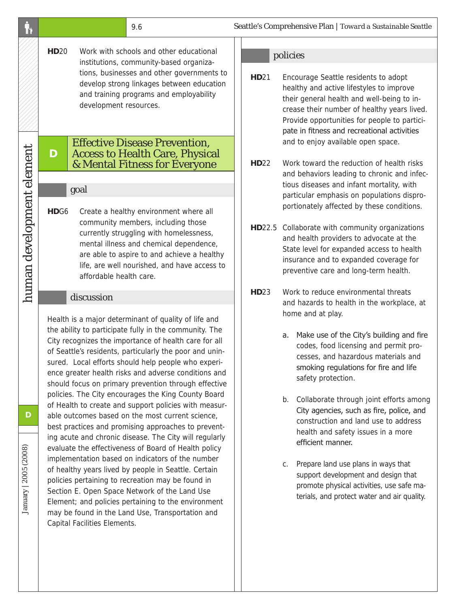|                            | 9.6                                                                                                                                                                                                                                                                                                                                                                                                                                                                                                                                                                                                                                             | Seattle's Compre                                                     |
|----------------------------|-------------------------------------------------------------------------------------------------------------------------------------------------------------------------------------------------------------------------------------------------------------------------------------------------------------------------------------------------------------------------------------------------------------------------------------------------------------------------------------------------------------------------------------------------------------------------------------------------------------------------------------------------|----------------------------------------------------------------------|
|                            | <b>HD20</b><br>Work with schools and other educational<br>institutions, community-based organiza-<br>tions, businesses and other governments to<br>develop strong linkages between education<br>and training programs and employability<br>development resources.                                                                                                                                                                                                                                                                                                                                                                               | poli<br>HD21<br>Er<br>h<br>th<br>cr<br>P <sub>1</sub>                |
|                            | <b>Effective Disease Prevention,</b><br>D<br><b>Access to Health Care, Physical</b><br>& Mental Fitness for Everyone<br>goal                                                                                                                                                                                                                                                                                                                                                                                                                                                                                                                    | p<br>a<br><b>HD22</b><br>W<br>a<br>tio                               |
| human development element  | HDG <sub>6</sub><br>Create a healthy environment where all<br>community members, including those<br>currently struggling with homelessness,<br>mental illness and chemical dependence,<br>are able to aspire to and achieve a healthy<br>life, are well nourished, and have access to<br>affordable health care.                                                                                                                                                                                                                                                                                                                                | p<br>p<br>HD22.5<br>$\mathsf{C}$<br>aı<br>S <sub>1</sub><br>in<br>pı |
|                            | discussion<br>Health is a major determinant of quality of life and<br>the ability to participate fully in the community. The<br>City recognizes the importance of health care for all<br>of Seattle's residents, particularly the poor and unin-<br>sured. Local efforts should help people who experi-<br>ence greater health risks and adverse conditions and<br>should focus on primary prevention through effective<br>policies. The City encourages the King County Board                                                                                                                                                                  | W<br><b>HD23</b><br>a<br>h٥<br>a.<br>b.                              |
| D<br>January   2005 (2008) | of Health to create and support policies with measur-<br>able outcomes based on the most current science,<br>best practices and promising approaches to prevent-<br>ing acute and chronic disease. The City will regularly<br>evaluate the effectiveness of Board of Health policy<br>implementation based on indicators of the number<br>of healthy years lived by people in Seattle. Certain<br>policies pertaining to recreation may be found in<br>Section E. Open Space Network of the Land Use<br>Element; and policies pertaining to the environment<br>may be found in the Land Use, Transportation and<br>Capital Facilities Elements. | С.                                                                   |

#### icies

- **Hoalie and France Seattle residents to adopt** ealthy and active lifestyles to improve eir general health and well-being to inease their number of healthy years lived. rovide opportunities for people to particiate in fitness and recreational activities nd to enjoy available open space.
- Jork toward the reduction of health risks nd behaviors leading to chronic and infecous diseases and infant mortality, with particular emphasis on populations disproortionately affected by these conditions.
- ollaborate with community organizations nd health providers to advocate at the tate level for expanded access to health isurance and to expanded coverage for reventive care and long-term health.
- *Hork to reduce environmental threats* nd hazards to health in the workplace, at ome and at play.
	- Make use of the City's building and fire codes, food licensing and permit processes, and hazardous materials and smoking regulations for fire and life safety protection.
	- Collaborate through joint efforts among City agencies, such as fire, police, and construction and land use to address health and safety issues in a more efficient manner.
	- Prepare land use plans in ways that support development and design that promote physical activities, use safe materials, and protect water and air quality.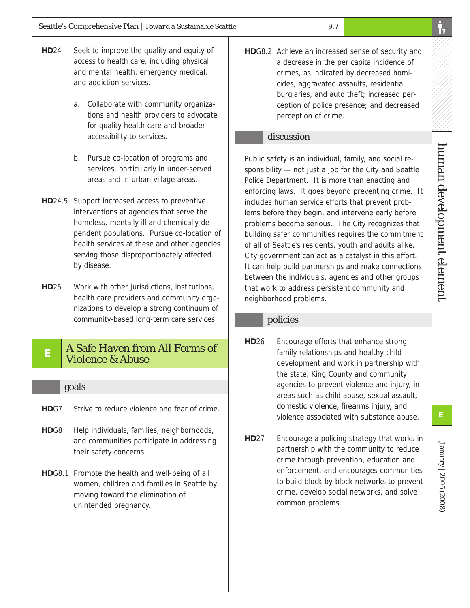- **HD**24 Seek to improve the quality and equity of access to health care, including physical and mental health, emergency medical, and addiction services.
	- a. Collaborate with community organizations and health providers to advocate for quality health care and broader accessibility to services.
	- b. Pursue co-location of programs and services, particularly in under-served areas and in urban village areas.
- **HD**24.5 Support increased access to preventive interventions at agencies that serve the homeless, mentally ill and chemically dependent populations. Pursue co-location of health services at these and other agencies serving those disproportionately affected by disease.
- **HD**25 Work with other jurisdictions, institutions, health care providers and community organizations to develop a strong continuum of community-based long-term care services.

# **E** A Safe Haven from All Forms of Violence & Abuse

# goals

- **HD**G7 Strive to reduce violence and fear of crime.
- **HD**G8 Help individuals, families, neighborhoods, and communities participate in addressing their safety concerns.
- **HD**G8.1 Promote the health and well-being of all women, children and families in Seattle by moving toward the elimination of unintended pregnancy.

**HD**G8.2 Achieve an increased sense of security and a decrease in the per capita incidence of crimes, as indicated by decreased homicides, aggravated assaults, residential burglaries, and auto theft; increased perception of police presence; and decreased perception of crime.

# discussion

Public safety is an individual, family, and social responsibility — not just a job for the City and Seattle Police Department. It is more than enacting and enforcing laws. It goes beyond preventing crime. It includes human service efforts that prevent problems before they begin, and intervene early before problems become serious. The City recognizes that building safer communities requires the commitment of all of Seattle's residents, youth and adults alike. City government can act as a catalyst in this effort. It can help build partnerships and make connections between the individuals, agencies and other groups that work to address persistent community and neighborhood problems.

# policies

- **HD**26 Encourage efforts that enhance strong family relationships and healthy child development and work in partnership with the state, King County and community agencies to prevent violence and injury, in areas such as child abuse, sexual assault, domestic violence, firearms injury, and violence associated with substance abuse.
- **HD**27 Encourage a policing strategy that works in partnership with the community to reduce crime through prevention, education and enforcement, and encourages communities to build block-by-block networks to prevent crime, develop social networks, and solve common problems.

January | 2005 (2008)

January | 2005 (2008)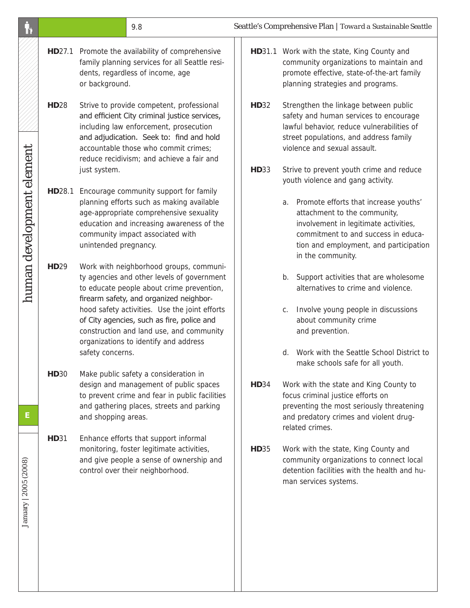|                           |                  |                                                                                                                                                                                                                                                          | 9.8                                                                                                                                                                                                                                                                                                                                                               |             | Seattle's Comprehensive Plan   Toward a Sustainable Seattle                                                                                                                                                                                                                         |
|---------------------------|------------------|----------------------------------------------------------------------------------------------------------------------------------------------------------------------------------------------------------------------------------------------------------|-------------------------------------------------------------------------------------------------------------------------------------------------------------------------------------------------------------------------------------------------------------------------------------------------------------------------------------------------------------------|-------------|-------------------------------------------------------------------------------------------------------------------------------------------------------------------------------------------------------------------------------------------------------------------------------------|
|                           |                  | or background.                                                                                                                                                                                                                                           | HD27.1 Promote the availability of comprehensive<br>family planning services for all Seattle resi-<br>dents, regardless of income, age                                                                                                                                                                                                                            |             | HD31.1 Work with the state, King County and<br>community organizations to maintain and<br>promote effective, state-of-the-art family<br>planning strategies and programs.                                                                                                           |
|                           | <b>HD28</b>      |                                                                                                                                                                                                                                                          | Strive to provide competent, professional<br>and efficient City criminal justice services,<br>including law enforcement, prosecution<br>and adjudication. Seek to: find and hold<br>accountable those who commit crimes;<br>reduce recidivism; and achieve a fair and                                                                                             | <b>HD32</b> | Strengthen the linkage between public<br>safety and human services to encourage<br>lawful behavior, reduce vulnerabilities of<br>street populations, and address family<br>violence and sexual assault.                                                                             |
| human development element | <b>HD28.1</b>    | just system.<br>Encourage community support for family<br>planning efforts such as making available<br>age-appropriate comprehensive sexuality<br>education and increasing awareness of the<br>community impact associated with<br>unintended pregnancy. |                                                                                                                                                                                                                                                                                                                                                                   | <b>HD33</b> | Strive to prevent youth crime and reduce<br>youth violence and gang activity.<br>a. Promote efforts that increase youths'<br>attachment to the community,<br>involvement in legitimate activities,<br>commitment to and success in educa-<br>tion and employment, and participation |
|                           | HD <sub>29</sub> | safety concerns.                                                                                                                                                                                                                                         | Work with neighborhood groups, communi-<br>ty agencies and other levels of government<br>to educate people about crime prevention,<br>firearm safety, and organized neighbor-<br>hood safety activities. Use the joint efforts<br>of City agencies, such as fire, police and<br>construction and land use, and community<br>organizations to identify and address |             | in the community.<br>Support activities that are wholesome<br>b.<br>alternatives to crime and violence.<br>Involve young people in discussions<br>C.<br>about community crime<br>and prevention.<br>d. Work with the Seattle School District to<br>make schools safe for all youth. |
| Е                         | <b>HD30</b>      | and shopping areas.                                                                                                                                                                                                                                      | Make public safety a consideration in<br>design and management of public spaces<br>to prevent crime and fear in public facilities<br>and gathering places, streets and parking                                                                                                                                                                                    | <b>HD34</b> | Work with the state and King County to<br>focus criminal justice efforts on<br>preventing the most seriously threatening<br>and predatory crimes and violent drug-<br>related crimes.                                                                                               |
| January   2005 (2008)     | <b>HD31</b>      |                                                                                                                                                                                                                                                          | Enhance efforts that support informal<br>monitoring, foster legitimate activities,<br>and give people a sense of ownership and<br>control over their neighborhood.                                                                                                                                                                                                | <b>HD35</b> | Work with the state, King County and<br>community organizations to connect local<br>detention facilities with the health and hu-<br>man services systems.                                                                                                                           |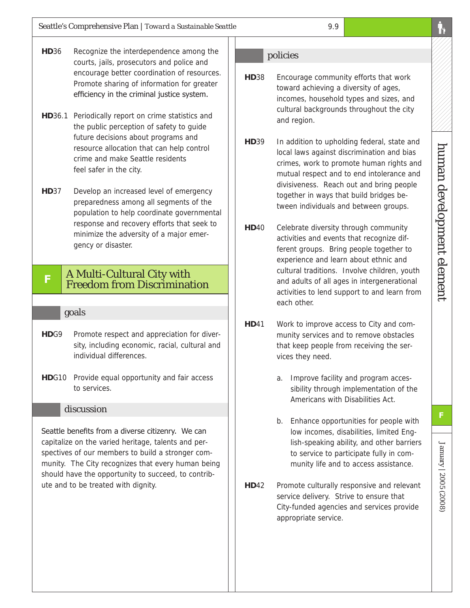- **HD**36 Recognize the interdependence among the courts, jails, prosecutors and police and encourage better coordination of resources. Promote sharing of information for greater efficiency in the criminal justice system.
- **HD**36.1 Periodically report on crime statistics and the public perception of safety to guide future decisions about programs and resource allocation that can help control crime and make Seattle residents feel safer in the city.
- **HD**37 Develop an increased level of emergency preparedness among all segments of the population to help coordinate governmental response and recovery efforts that seek to minimize the adversity of a major emergency or disaster.

# **<sup>F</sup>** A Multi-Cultural City with Freedom from Discrimination

#### goals

- HDG9 Promote respect and appreciation for diversity, including economic, racial, cultural and individual differences.
- **HD**G10 Provide equal opportunity and fair access to services.

#### discussion

Seattle benefits from a diverse citizenry. We can capitalize on the varied heritage, talents and perspectives of our members to build a stronger community. The City recognizes that every human being should have the opportunity to succeed, to contribute and to be treated with dignity.

#### policies

- **HD**38 Encourage community efforts that work toward achieving a diversity of ages, incomes, household types and sizes, and cultural backgrounds throughout the city and region.
- **HD**39 In addition to upholding federal, state and local laws against discrimination and bias crimes, work to promote human rights and mutual respect and to end intolerance and divisiveness. Reach out and bring people together in ways that build bridges between individuals and between groups.
- **HD**40 Celebrate diversity through community activities and events that recognize different groups. Bring people together to experience and learn about ethnic and cultural traditions. Involve children, youth and adults of all ages in intergenerational activities to lend support to and learn from each other.
- **HD**41 Work to improve access to City and community services and to remove obstacles that keep people from receiving the services they need.
	- a. Improve facility and program accessibility through implementation of the Americans with Disabilities Act.
	- b. Enhance opportunities for people with low incomes, disabilities, limited English-speaking ability, and other barriers to service to participate fully in community life and to access assistance.
- **HD**42 Promote culturally responsive and relevant service delivery. Strive to ensure that City-funded agencies and services provide appropriate service.

January | 2005 (2008)

January | 2005 (2008)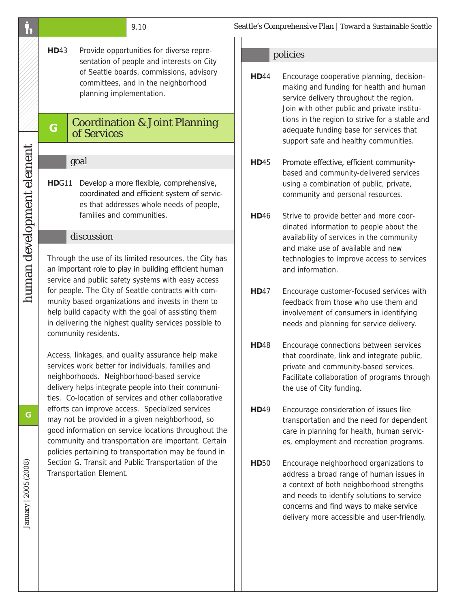|                           |                                                                                                                                                                                                                                                                                                                                                                                                                                                                                                                                                                                                                                                                                                                                                                                                           | 9.10                                                                                                                                                                 |              | Seattle's Comprehensive Plan   Toward a Sustainable Seattle                                                                                                                                                                                                            |
|---------------------------|-----------------------------------------------------------------------------------------------------------------------------------------------------------------------------------------------------------------------------------------------------------------------------------------------------------------------------------------------------------------------------------------------------------------------------------------------------------------------------------------------------------------------------------------------------------------------------------------------------------------------------------------------------------------------------------------------------------------------------------------------------------------------------------------------------------|----------------------------------------------------------------------------------------------------------------------------------------------------------------------|--------------|------------------------------------------------------------------------------------------------------------------------------------------------------------------------------------------------------------------------------------------------------------------------|
|                           |                                                                                                                                                                                                                                                                                                                                                                                                                                                                                                                                                                                                                                                                                                                                                                                                           |                                                                                                                                                                      |              |                                                                                                                                                                                                                                                                        |
|                           | <b>HD43</b><br>Provide opportunities for diverse repre-<br>sentation of people and interests on City<br>of Seattle boards, commissions, advisory<br>committees, and in the neighborhood<br>planning implementation.                                                                                                                                                                                                                                                                                                                                                                                                                                                                                                                                                                                       |                                                                                                                                                                      | <b>HD44</b>  | policies<br>Encourage cooperative planning, decision-<br>making and funding for health and human<br>service delivery throughout the region.<br>Join with other public and private institu-                                                                             |
|                           | G                                                                                                                                                                                                                                                                                                                                                                                                                                                                                                                                                                                                                                                                                                                                                                                                         | <b>Coordination &amp; Joint Planning</b><br>of Services                                                                                                              |              | tions in the region to strive for a stable and<br>adequate funding base for services that<br>support safe and healthy communities.                                                                                                                                     |
|                           |                                                                                                                                                                                                                                                                                                                                                                                                                                                                                                                                                                                                                                                                                                                                                                                                           | goal                                                                                                                                                                 | <b>HD45</b>  | Promote effective, efficient community-                                                                                                                                                                                                                                |
| human development element | HDG11                                                                                                                                                                                                                                                                                                                                                                                                                                                                                                                                                                                                                                                                                                                                                                                                     | Develop a more flexible, comprehensive,<br>coordinated and efficient system of servic-<br>es that addresses whole needs of people,                                   |              | based and community-delivered services<br>using a combination of public, private,<br>community and personal resources.                                                                                                                                                 |
|                           |                                                                                                                                                                                                                                                                                                                                                                                                                                                                                                                                                                                                                                                                                                                                                                                                           | families and communities.<br>discussion                                                                                                                              | <b>HD</b> 46 | Strive to provide better and more coor-<br>dinated information to people about the<br>availability of services in the community                                                                                                                                        |
|                           | Through the use of its limited resources, the City has<br>an important role to play in building efficient human<br>service and public safety systems with easy access<br>for people. The City of Seattle contracts with com-<br>munity based organizations and invests in them to<br>help build capacity with the goal of assisting them<br>in delivering the highest quality services possible to<br>community residents.<br>Access, linkages, and quality assurance help make<br>services work better for individuals, families and<br>neighborhoods. Neighborhood-based service<br>delivery helps integrate people into their communi-<br>ties. Co-location of services and other collaborative<br>efforts can improve access. Specialized services<br>may not be provided in a given neighborhood, so |                                                                                                                                                                      |              | and make use of available and new<br>technologies to improve access to services<br>and information.                                                                                                                                                                    |
|                           |                                                                                                                                                                                                                                                                                                                                                                                                                                                                                                                                                                                                                                                                                                                                                                                                           |                                                                                                                                                                      | <b>HD47</b>  | Encourage customer-focused services with<br>feedback from those who use them and<br>involvement of consumers in identifying<br>needs and planning for service delivery.                                                                                                |
|                           |                                                                                                                                                                                                                                                                                                                                                                                                                                                                                                                                                                                                                                                                                                                                                                                                           |                                                                                                                                                                      | <b>HD48</b>  | Encourage connections between services<br>that coordinate, link and integrate public,<br>private and community-based services.<br>Facilitate collaboration of programs through<br>the use of City funding.                                                             |
| G                         |                                                                                                                                                                                                                                                                                                                                                                                                                                                                                                                                                                                                                                                                                                                                                                                                           |                                                                                                                                                                      | <b>HD49</b>  | Encourage consideration of issues like<br>transportation and the need for dependent                                                                                                                                                                                    |
| January   2005 (2008)     |                                                                                                                                                                                                                                                                                                                                                                                                                                                                                                                                                                                                                                                                                                                                                                                                           | good information on service locations throughout the<br>community and transportation are important. Certain<br>policies pertaining to transportation may be found in |              | care in planning for health, human servic-<br>es, employment and recreation programs.                                                                                                                                                                                  |
|                           | Section G. Transit and Public Transportation of the<br>Transportation Element.                                                                                                                                                                                                                                                                                                                                                                                                                                                                                                                                                                                                                                                                                                                            |                                                                                                                                                                      | <b>HD50</b>  | Encourage neighborhood organizations to<br>address a broad range of human issues in<br>a context of both neighborhood strengths<br>and needs to identify solutions to service<br>concerns and find ways to make service<br>delivery more accessible and user-friendly. |